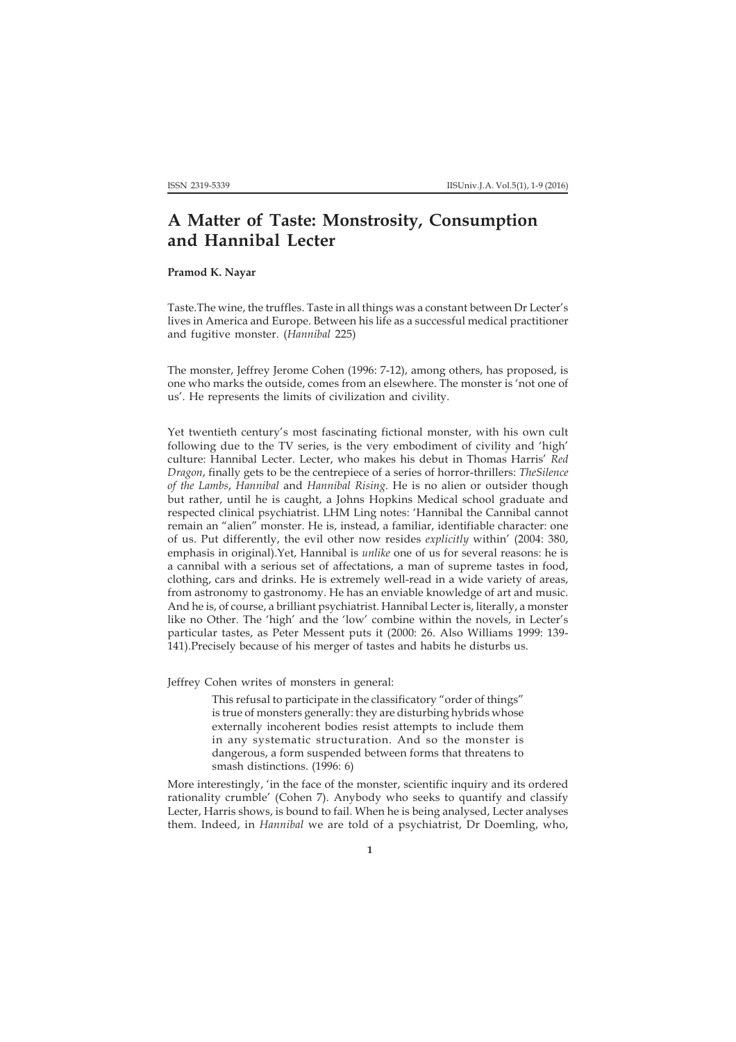## **A Matter of Taste: Monstrosity, Consumption and Hannibal Lecter**

## **Pramod K. Nayar**

Taste.The wine, the truffles. Taste in all things was a constant between Dr Lecter's lives in America and Europe. Between his life as a successful medical practitioner and fugitive monster. (*Hannibal* 225)

The monster, Jeffrey Jerome Cohen (1996: 7-12), among others, has proposed, is one who marks the outside, comes from an elsewhere. The monster is 'not one of us'. He represents the limits of civilization and civility.

Yet twentieth century's most fascinating fictional monster, with his own cult following due to the TV series, is the very embodiment of civility and 'high' culture: Hannibal Lecter. Lecter, who makes his debut in Thomas Harris' *Red Dragon*, finally gets to be the centrepiece of a series of horror-thrillers: *TheSilence of the Lambs*, *Hannibal* and *Hannibal Rising*. He is no alien or outsider though but rather, until he is caught, a Johns Hopkins Medical school graduate and respected clinical psychiatrist. LHM Ling notes: 'Hannibal the Cannibal cannot remain an "alien" monster. He is, instead, a familiar, identifiable character: one of us. Put differently, the evil other now resides *explicitly* within' (2004: 380, emphasis in original).Yet, Hannibal is *unlike* one of us for several reasons: he is a cannibal with a serious set of affectations, a man of supreme tastes in food, clothing, cars and drinks. He is extremely well-read in a wide variety of areas, from astronomy to gastronomy. He has an enviable knowledge of art and music. And he is, of course, a brilliant psychiatrist. Hannibal Lecter is, literally, a monster like no Other. The 'high' and the 'low' combine within the novels, in Lecter's particular tastes, as Peter Messent puts it (2000: 26. Also Williams 1999: 139- 141).Precisely because of his merger of tastes and habits he disturbs us.

Jeffrey Cohen writes of monsters in general:

This refusal to participate in the classificatory "order of things" is true of monsters generally: they are disturbing hybrids whose externally incoherent bodies resist attempts to include them in any systematic structuration. And so the monster is dangerous, a form suspended between forms that threatens to smash distinctions. (1996: 6)

More interestingly, 'in the face of the monster, scientific inquiry and its ordered rationality crumble' (Cohen 7). Anybody who seeks to quantify and classify Lecter, Harris shows, is bound to fail. When he is being analysed, Lecter analyses them. Indeed, in *Hannibal* we are told of a psychiatrist, Dr Doemling, who,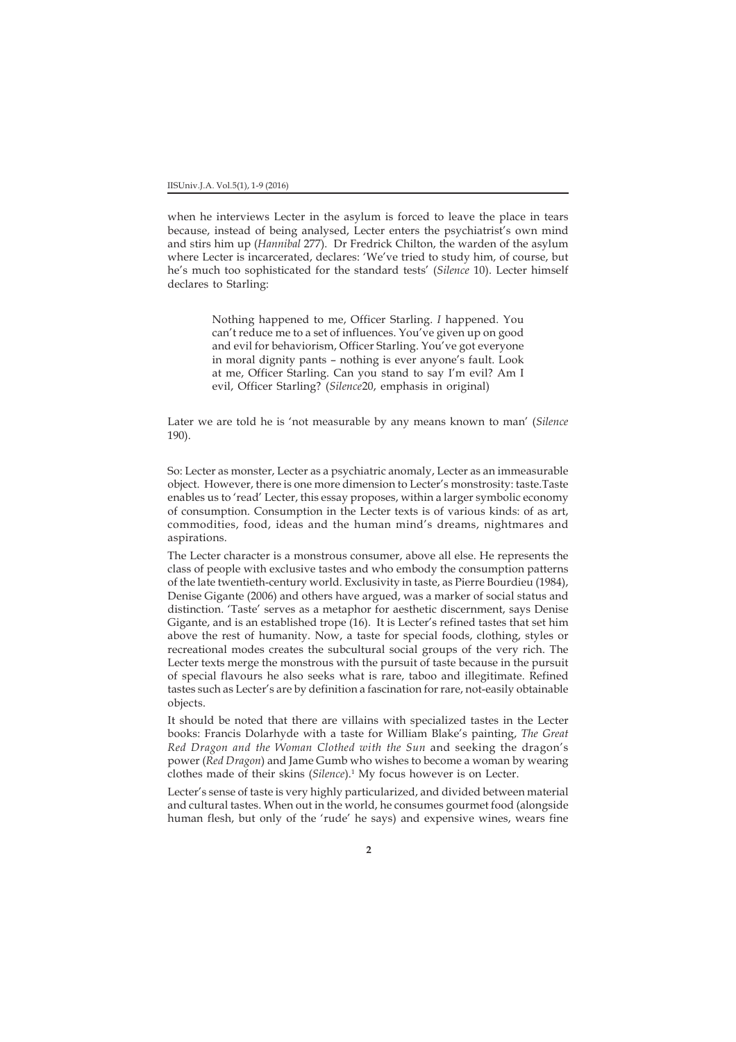when he interviews Lecter in the asylum is forced to leave the place in tears because, instead of being analysed, Lecter enters the psychiatrist's own mind and stirs him up (*Hannibal* 277). Dr Fredrick Chilton, the warden of the asylum where Lecter is incarcerated, declares: 'We've tried to study him, of course, but he's much too sophisticated for the standard tests' (*Silence* 10). Lecter himself declares to Starling:

> Nothing happened to me, Officer Starling. *I* happened. You can't reduce me to a set of influences. You've given up on good and evil for behaviorism, Officer Starling. You've got everyone in moral dignity pants – nothing is ever anyone's fault. Look at me, Officer Starling. Can you stand to say I'm evil? Am I evil, Officer Starling? (*Silence*20, emphasis in original)

Later we are told he is 'not measurable by any means known to man' (*Silence* 190).

So: Lecter as monster, Lecter as a psychiatric anomaly, Lecter as an immeasurable object. However, there is one more dimension to Lecter's monstrosity: taste.Taste enables us to 'read' Lecter, this essay proposes, within a larger symbolic economy of consumption. Consumption in the Lecter texts is of various kinds: of as art, commodities, food, ideas and the human mind's dreams, nightmares and aspirations.

The Lecter character is a monstrous consumer, above all else. He represents the class of people with exclusive tastes and who embody the consumption patterns of the late twentieth-century world. Exclusivity in taste, as Pierre Bourdieu (1984), Denise Gigante (2006) and others have argued, was a marker of social status and distinction. 'Taste' serves as a metaphor for aesthetic discernment, says Denise Gigante, and is an established trope (16). It is Lecter's refined tastes that set him above the rest of humanity. Now, a taste for special foods, clothing, styles or recreational modes creates the subcultural social groups of the very rich. The Lecter texts merge the monstrous with the pursuit of taste because in the pursuit of special flavours he also seeks what is rare, taboo and illegitimate. Refined tastes such as Lecter's are by definition a fascination for rare, not-easily obtainable objects.

It should be noted that there are villains with specialized tastes in the Lecter books: Francis Dolarhyde with a taste for William Blake's painting, *The Great Red Dragon and the Woman Clothed with the Sun* and seeking the dragon's power (*Red Dragon*) and Jame Gumb who wishes to become a woman by wearing clothes made of their skins (*Silence*).1 My focus however is on Lecter.

Lecter's sense of taste is very highly particularized, and divided between material and cultural tastes. When out in the world, he consumes gourmet food (alongside human flesh, but only of the 'rude' he says) and expensive wines, wears fine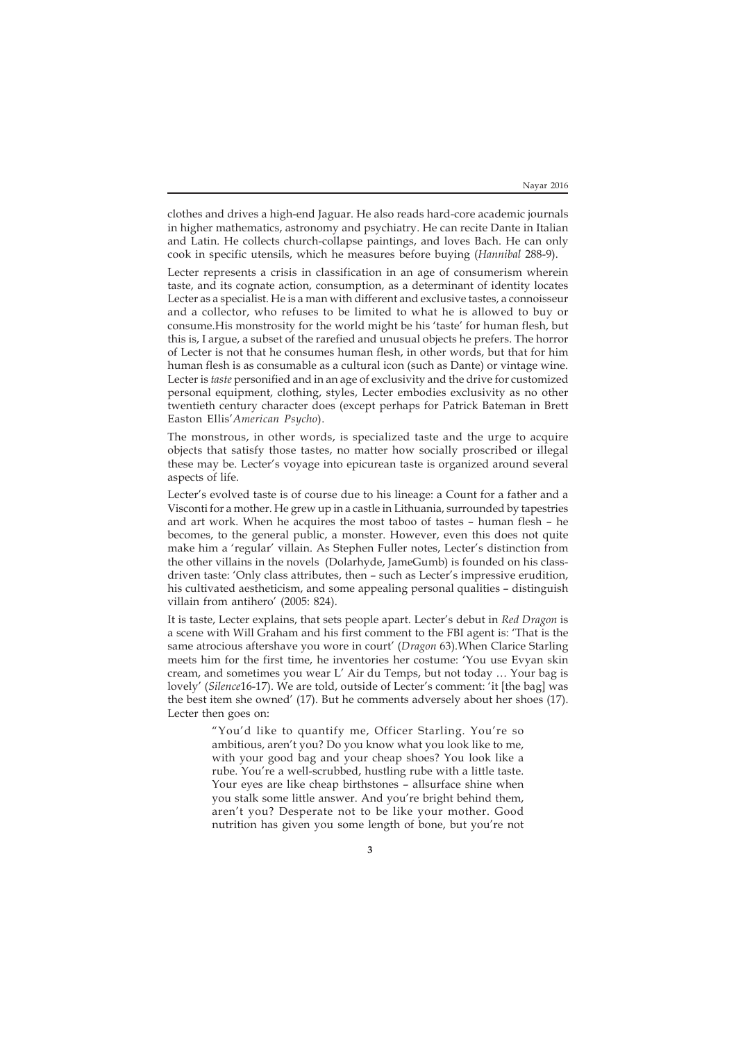clothes and drives a high-end Jaguar. He also reads hard-core academic journals in higher mathematics, astronomy and psychiatry. He can recite Dante in Italian and Latin. He collects church-collapse paintings, and loves Bach. He can only cook in specific utensils, which he measures before buying (*Hannibal* 288-9).

Lecter represents a crisis in classification in an age of consumerism wherein taste, and its cognate action, consumption, as a determinant of identity locates Lecter as a specialist. He is a man with different and exclusive tastes, a connoisseur and a collector, who refuses to be limited to what he is allowed to buy or consume.His monstrosity for the world might be his 'taste' for human flesh, but this is, I argue, a subset of the rarefied and unusual objects he prefers. The horror of Lecter is not that he consumes human flesh, in other words, but that for him human flesh is as consumable as a cultural icon (such as Dante) or vintage wine. Lecter is *taste* personified and in an age of exclusivity and the drive for customized personal equipment, clothing, styles, Lecter embodies exclusivity as no other twentieth century character does (except perhaps for Patrick Bateman in Brett Easton Ellis'*American Psycho*).

The monstrous, in other words, is specialized taste and the urge to acquire objects that satisfy those tastes, no matter how socially proscribed or illegal these may be. Lecter's voyage into epicurean taste is organized around several aspects of life.

Lecter's evolved taste is of course due to his lineage: a Count for a father and a Visconti for a mother. He grew up in a castle in Lithuania, surrounded by tapestries and art work. When he acquires the most taboo of tastes – human flesh – he becomes, to the general public, a monster. However, even this does not quite make him a 'regular' villain. As Stephen Fuller notes, Lecter's distinction from the other villains in the novels (Dolarhyde, JameGumb) is founded on his classdriven taste: 'Only class attributes, then – such as Lecter's impressive erudition, his cultivated aestheticism, and some appealing personal qualities – distinguish villain from antihero' (2005: 824).

It is taste, Lecter explains, that sets people apart. Lecter's debut in *Red Dragon* is a scene with Will Graham and his first comment to the FBI agent is: 'That is the same atrocious aftershave you wore in court' (*Dragon* 63).When Clarice Starling meets him for the first time, he inventories her costume: 'You use Evyan skin cream, and sometimes you wear L' Air du Temps, but not today … Your bag is lovely' (*Silence*16-17). We are told, outside of Lecter's comment: 'it [the bag] was the best item she owned' (17). But he comments adversely about her shoes (17). Lecter then goes on:

> "You'd like to quantify me, Officer Starling. You're so ambitious, aren't you? Do you know what you look like to me, with your good bag and your cheap shoes? You look like a rube. You're a well-scrubbed, hustling rube with a little taste. Your eyes are like cheap birthstones – allsurface shine when you stalk some little answer. And you're bright behind them, aren't you? Desperate not to be like your mother. Good nutrition has given you some length of bone, but you're not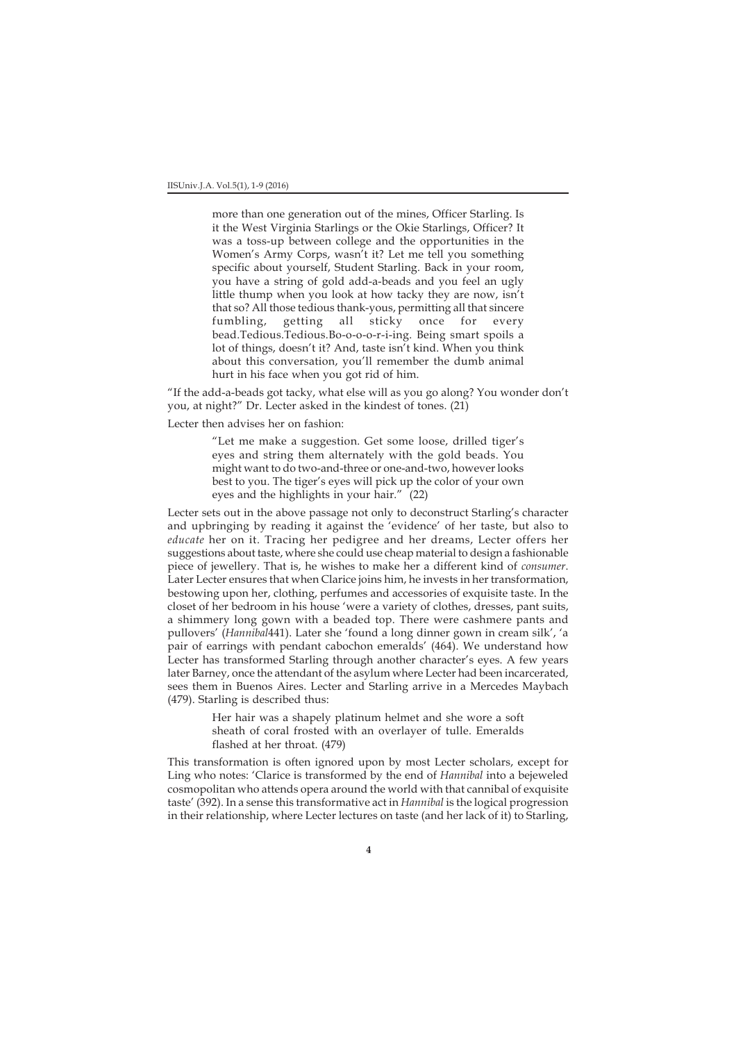more than one generation out of the mines, Officer Starling. Is it the West Virginia Starlings or the Okie Starlings, Officer? It was a toss-up between college and the opportunities in the Women's Army Corps, wasn't it? Let me tell you something specific about yourself, Student Starling. Back in your room, you have a string of gold add-a-beads and you feel an ugly little thump when you look at how tacky they are now, isn't that so? All those tedious thank-yous, permitting all that sincere fumbling, getting all sticky once for every bead.Tedious.Tedious.Bo-o-o-o-r-i-ing. Being smart spoils a lot of things, doesn't it? And, taste isn't kind. When you think about this conversation, you'll remember the dumb animal hurt in his face when you got rid of him.

"If the add-a-beads got tacky, what else will as you go along? You wonder don't you, at night?" Dr. Lecter asked in the kindest of tones. (21)

Lecter then advises her on fashion:

"Let me make a suggestion. Get some loose, drilled tiger's eyes and string them alternately with the gold beads. You might want to do two-and-three or one-and-two, however looks best to you. The tiger's eyes will pick up the color of your own eyes and the highlights in your hair." (22)

Lecter sets out in the above passage not only to deconstruct Starling's character and upbringing by reading it against the 'evidence' of her taste, but also to *educate* her on it. Tracing her pedigree and her dreams, Lecter offers her suggestions about taste, where she could use cheap material to design a fashionable piece of jewellery. That is, he wishes to make her a different kind of *consumer*. Later Lecter ensures that when Clarice joins him, he invests in her transformation, bestowing upon her, clothing, perfumes and accessories of exquisite taste. In the closet of her bedroom in his house 'were a variety of clothes, dresses, pant suits, a shimmery long gown with a beaded top. There were cashmere pants and pullovers' (*Hannibal*441). Later she 'found a long dinner gown in cream silk', 'a pair of earrings with pendant cabochon emeralds' (464). We understand how Lecter has transformed Starling through another character's eyes. A few years later Barney, once the attendant of the asylum where Lecter had been incarcerated, sees them in Buenos Aires. Lecter and Starling arrive in a Mercedes Maybach (479). Starling is described thus:

> Her hair was a shapely platinum helmet and she wore a soft sheath of coral frosted with an overlayer of tulle. Emeralds flashed at her throat. (479)

This transformation is often ignored upon by most Lecter scholars, except for Ling who notes: 'Clarice is transformed by the end of *Hannibal* into a bejeweled cosmopolitan who attends opera around the world with that cannibal of exquisite taste' (392). In a sense this transformative act in *Hannibal* is the logical progression in their relationship, where Lecter lectures on taste (and her lack of it) to Starling,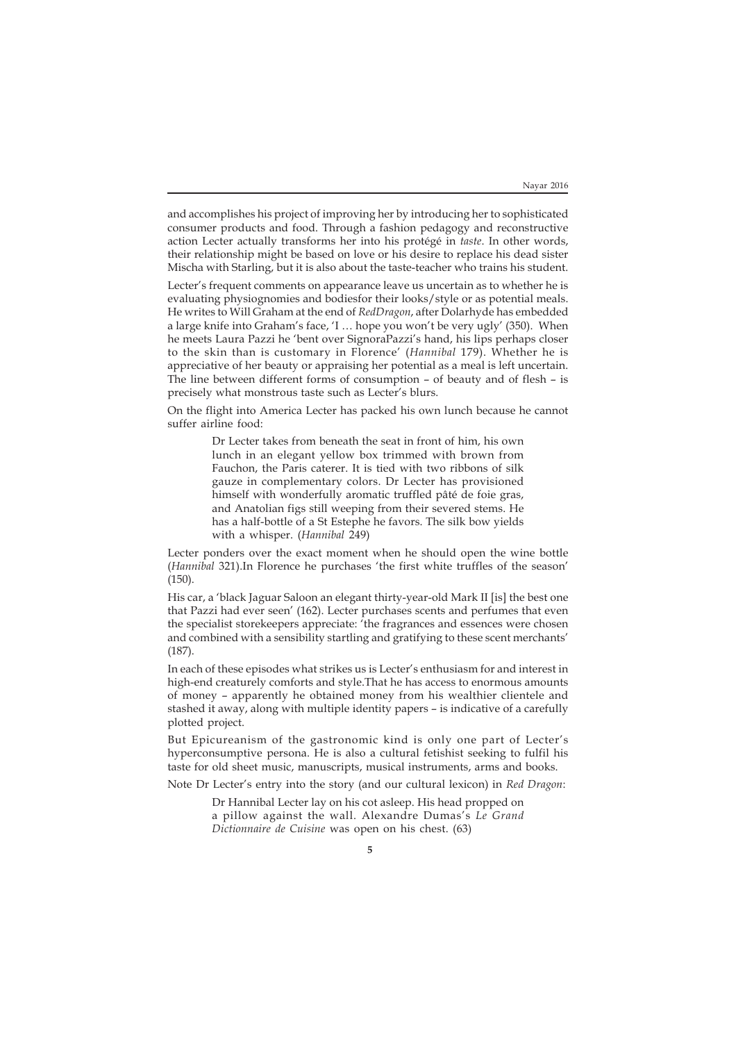and accomplishes his project of improving her by introducing her to sophisticated consumer products and food. Through a fashion pedagogy and reconstructive action Lecter actually transforms her into his protégé in *taste*. In other words, their relationship might be based on love or his desire to replace his dead sister Mischa with Starling, but it is also about the taste-teacher who trains his student.

Lecter's frequent comments on appearance leave us uncertain as to whether he is evaluating physiognomies and bodiesfor their looks/style or as potential meals. He writes to Will Graham at the end of *RedDragon*, after Dolarhyde has embedded a large knife into Graham's face, 'I … hope you won't be very ugly' (350). When he meets Laura Pazzi he 'bent over SignoraPazzi's hand, his lips perhaps closer to the skin than is customary in Florence' (*Hannibal* 179). Whether he is appreciative of her beauty or appraising her potential as a meal is left uncertain. The line between different forms of consumption – of beauty and of flesh – is precisely what monstrous taste such as Lecter's blurs.

On the flight into America Lecter has packed his own lunch because he cannot suffer airline food:

> Dr Lecter takes from beneath the seat in front of him, his own lunch in an elegant yellow box trimmed with brown from Fauchon, the Paris caterer. It is tied with two ribbons of silk gauze in complementary colors. Dr Lecter has provisioned himself with wonderfully aromatic truffled pâté de foie gras, and Anatolian figs still weeping from their severed stems. He has a half-bottle of a St Estephe he favors. The silk bow yields with a whisper. (*Hannibal* 249)

Lecter ponders over the exact moment when he should open the wine bottle (*Hannibal* 321).In Florence he purchases 'the first white truffles of the season' (150).

His car, a 'black Jaguar Saloon an elegant thirty-year-old Mark II [is] the best one that Pazzi had ever seen' (162). Lecter purchases scents and perfumes that even the specialist storekeepers appreciate: 'the fragrances and essences were chosen and combined with a sensibility startling and gratifying to these scent merchants' (187).

In each of these episodes what strikes us is Lecter's enthusiasm for and interest in high-end creaturely comforts and style.That he has access to enormous amounts of money – apparently he obtained money from his wealthier clientele and stashed it away, along with multiple identity papers – is indicative of a carefully plotted project.

But Epicureanism of the gastronomic kind is only one part of Lecter's hyperconsumptive persona. He is also a cultural fetishist seeking to fulfil his taste for old sheet music, manuscripts, musical instruments, arms and books.

Note Dr Lecter's entry into the story (and our cultural lexicon) in *Red Dragon*:

Dr Hannibal Lecter lay on his cot asleep. His head propped on a pillow against the wall. Alexandre Dumas's *Le Grand Dictionnaire de Cuisine* was open on his chest. (63)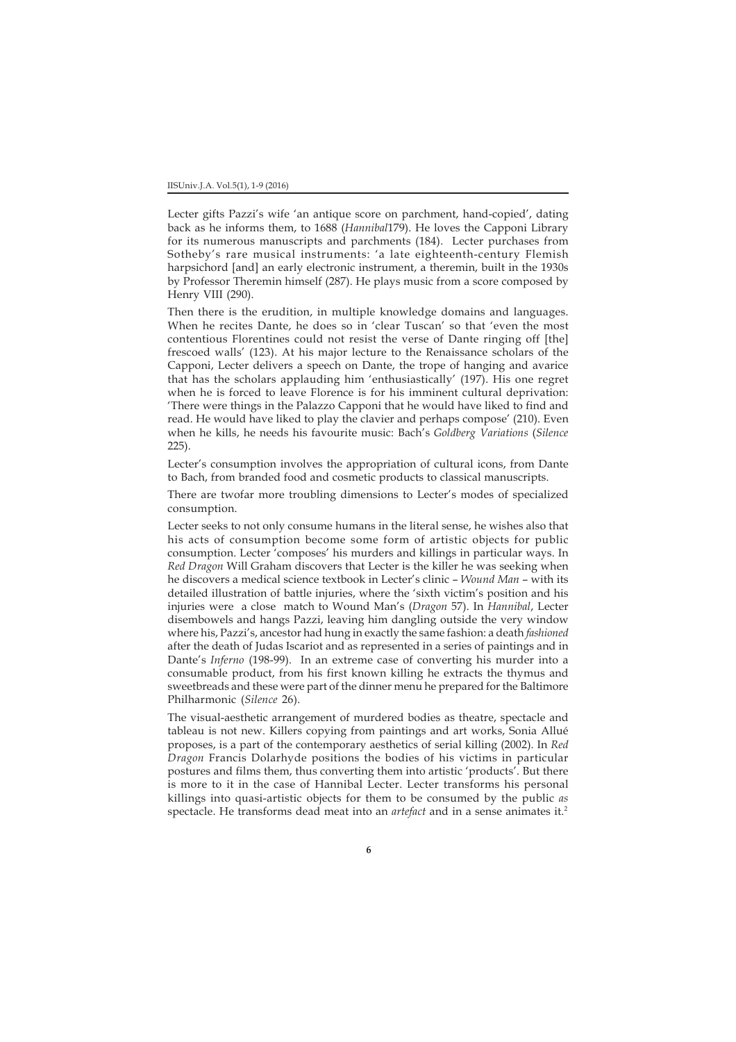Lecter gifts Pazzi's wife 'an antique score on parchment, hand-copied', dating back as he informs them, to 1688 (*Hannibal*179). He loves the Capponi Library for its numerous manuscripts and parchments (184). Lecter purchases from Sotheby's rare musical instruments: 'a late eighteenth-century Flemish harpsichord [and] an early electronic instrument, a theremin, built in the 1930s by Professor Theremin himself (287). He plays music from a score composed by Henry VIII (290).

Then there is the erudition, in multiple knowledge domains and languages. When he recites Dante, he does so in 'clear Tuscan' so that 'even the most contentious Florentines could not resist the verse of Dante ringing off [the] frescoed walls' (123). At his major lecture to the Renaissance scholars of the Capponi, Lecter delivers a speech on Dante, the trope of hanging and avarice that has the scholars applauding him 'enthusiastically' (197). His one regret when he is forced to leave Florence is for his imminent cultural deprivation: 'There were things in the Palazzo Capponi that he would have liked to find and read. He would have liked to play the clavier and perhaps compose' (210). Even when he kills, he needs his favourite music: Bach's *Goldberg Variations* (*Silence* 225).

Lecter's consumption involves the appropriation of cultural icons, from Dante to Bach, from branded food and cosmetic products to classical manuscripts.

There are twofar more troubling dimensions to Lecter's modes of specialized consumption.

Lecter seeks to not only consume humans in the literal sense, he wishes also that his acts of consumption become some form of artistic objects for public consumption. Lecter 'composes' his murders and killings in particular ways. In *Red Dragon* Will Graham discovers that Lecter is the killer he was seeking when he discovers a medical science textbook in Lecter's clinic – *Wound Man* – with its detailed illustration of battle injuries, where the 'sixth victim's position and his injuries were a close match to Wound Man's (*Dragon* 57). In *Hannibal*, Lecter disembowels and hangs Pazzi, leaving him dangling outside the very window where his, Pazzi's, ancestor had hung in exactly the same fashion: a death *fashioned* after the death of Judas Iscariot and as represented in a series of paintings and in Dante's *Inferno* (198-99). In an extreme case of converting his murder into a consumable product, from his first known killing he extracts the thymus and sweetbreads and these were part of the dinner menu he prepared for the Baltimore Philharmonic (*Silence* 26).

The visual-aesthetic arrangement of murdered bodies as theatre, spectacle and tableau is not new. Killers copying from paintings and art works, Sonia Allué proposes, is a part of the contemporary aesthetics of serial killing (2002). In *Red Dragon* Francis Dolarhyde positions the bodies of his victims in particular postures and films them, thus converting them into artistic 'products'. But there is more to it in the case of Hannibal Lecter. Lecter transforms his personal killings into quasi-artistic objects for them to be consumed by the public *as* spectacle. He transforms dead meat into an *artefact* and in a sense animates it.2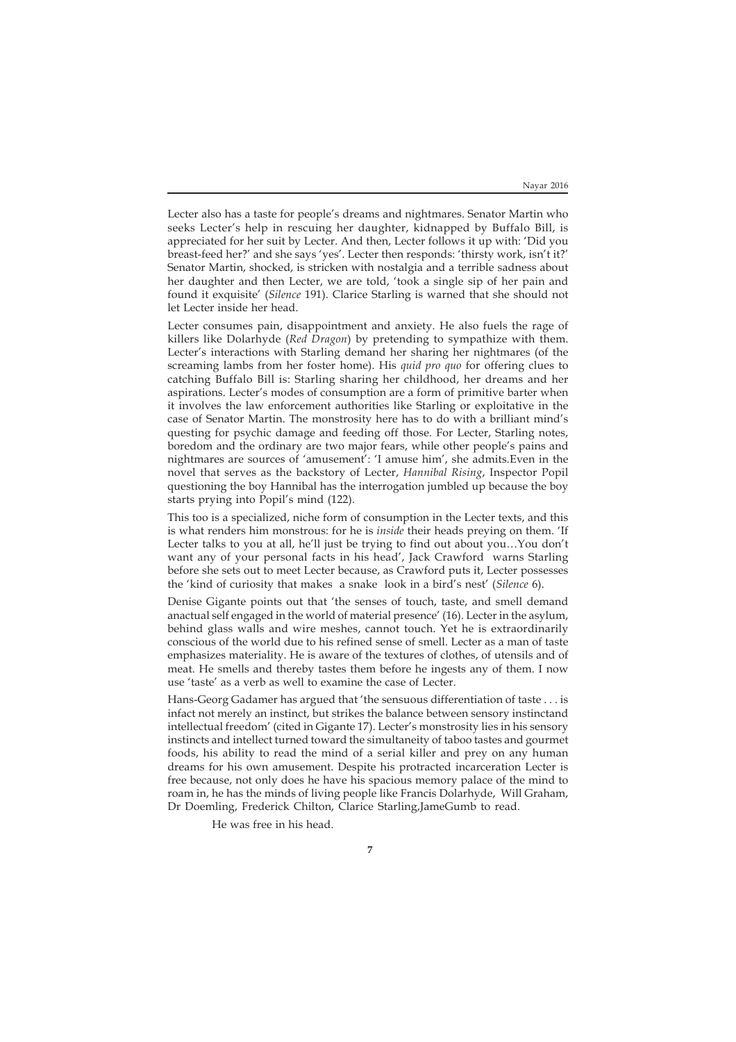Lecter also has a taste for people's dreams and nightmares. Senator Martin who seeks Lecter's help in rescuing her daughter, kidnapped by Buffalo Bill, is appreciated for her suit by Lecter. And then, Lecter follows it up with: 'Did you breast-feed her?' and she says 'yes'. Lecter then responds: 'thirsty work, isn't it?' Senator Martin, shocked, is stricken with nostalgia and a terrible sadness about her daughter and then Lecter, we are told, 'took a single sip of her pain and found it exquisite' (*Silence* 191). Clarice Starling is warned that she should not let Lecter inside her head.

Lecter consumes pain, disappointment and anxiety. He also fuels the rage of killers like Dolarhyde (*Red Dragon*) by pretending to sympathize with them. Lecter's interactions with Starling demand her sharing her nightmares (of the screaming lambs from her foster home). His *quid pro quo* for offering clues to catching Buffalo Bill is: Starling sharing her childhood, her dreams and her aspirations. Lecter's modes of consumption are a form of primitive barter when it involves the law enforcement authorities like Starling or exploitative in the case of Senator Martin. The monstrosity here has to do with a brilliant mind's questing for psychic damage and feeding off those. For Lecter, Starling notes, boredom and the ordinary are two major fears, while other people's pains and nightmares are sources of 'amusement': 'I amuse him', she admits.Even in the novel that serves as the backstory of Lecter, *Hannibal Rising*, Inspector Popil questioning the boy Hannibal has the interrogation jumbled up because the boy starts prying into Popil's mind (122).

This too is a specialized, niche form of consumption in the Lecter texts, and this is what renders him monstrous: for he is *inside* their heads preying on them. 'If Lecter talks to you at all, he'll just be trying to find out about you…You don't want any of your personal facts in his head', Jack Crawford warns Starling before she sets out to meet Lecter because, as Crawford puts it, Lecter possesses the 'kind of curiosity that makes a snake look in a bird's nest' (*Silence* 6).

Denise Gigante points out that 'the senses of touch, taste, and smell demand anactual self engaged in the world of material presence' (16). Lecter in the asylum, behind glass walls and wire meshes, cannot touch. Yet he is extraordinarily conscious of the world due to his refined sense of smell. Lecter as a man of taste emphasizes materiality. He is aware of the textures of clothes, of utensils and of meat. He smells and thereby tastes them before he ingests any of them. I now use 'taste' as a verb as well to examine the case of Lecter.

Hans-Georg Gadamer has argued that 'the sensuous differentiation of taste . . . is infact not merely an instinct, but strikes the balance between sensory instinctand intellectual freedom' (cited in Gigante 17). Lecter's monstrosity lies in his sensory instincts and intellect turned toward the simultaneity of taboo tastes and gourmet foods, his ability to read the mind of a serial killer and prey on any human dreams for his own amusement. Despite his protracted incarceration Lecter is free because, not only does he have his spacious memory palace of the mind to roam in, he has the minds of living people like Francis Dolarhyde, Will Graham, Dr Doemling, Frederick Chilton, Clarice Starling,JameGumb to read.

He was free in his head.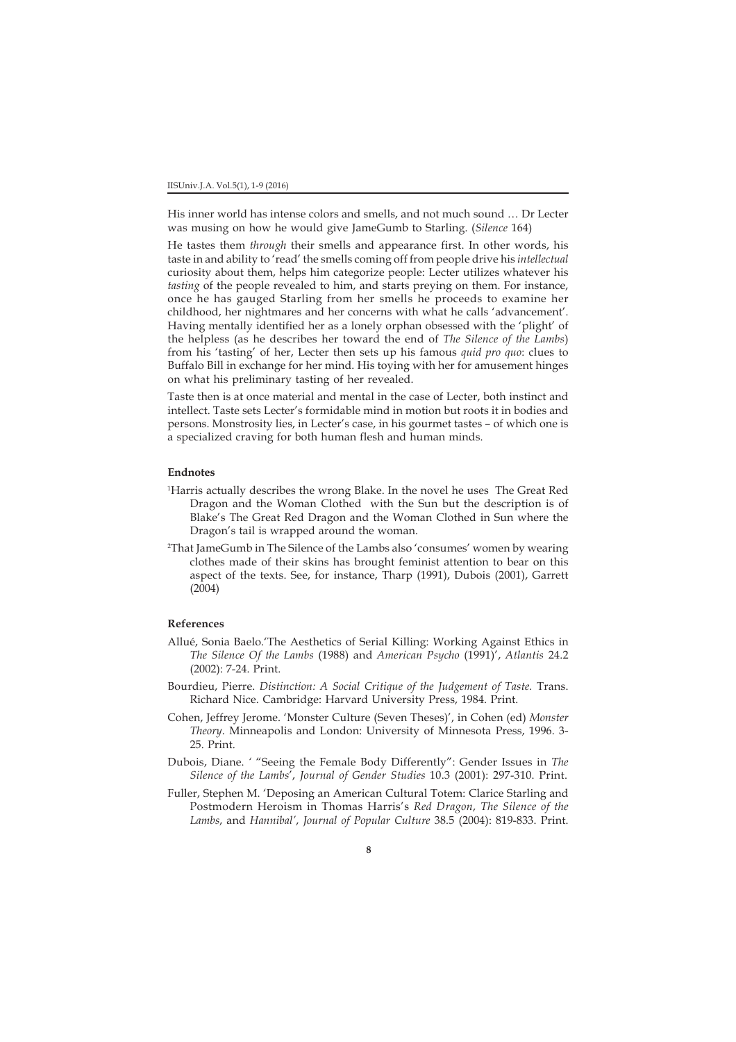His inner world has intense colors and smells, and not much sound … Dr Lecter was musing on how he would give JameGumb to Starling. (*Silence* 164)

He tastes them *through* their smells and appearance first. In other words, his taste in and ability to 'read' the smells coming off from people drive his *intellectual* curiosity about them, helps him categorize people: Lecter utilizes whatever his *tasting* of the people revealed to him, and starts preying on them. For instance, once he has gauged Starling from her smells he proceeds to examine her childhood, her nightmares and her concerns with what he calls 'advancement'. Having mentally identified her as a lonely orphan obsessed with the 'plight' of the helpless (as he describes her toward the end of *The Silence of the Lambs*) from his 'tasting' of her, Lecter then sets up his famous *quid pro quo*: clues to Buffalo Bill in exchange for her mind. His toying with her for amusement hinges on what his preliminary tasting of her revealed.

Taste then is at once material and mental in the case of Lecter, both instinct and intellect. Taste sets Lecter's formidable mind in motion but roots it in bodies and persons. Monstrosity lies, in Lecter's case, in his gourmet tastes – of which one is a specialized craving for both human flesh and human minds.

## **Endnotes**

- 1 Harris actually describes the wrong Blake. In the novel he uses The Great Red Dragon and the Woman Clothed with the Sun but the description is of Blake's The Great Red Dragon and the Woman Clothed in Sun where the Dragon's tail is wrapped around the woman.
- 2 That JameGumb in The Silence of the Lambs also 'consumes' women by wearing clothes made of their skins has brought feminist attention to bear on this aspect of the texts. See, for instance, Tharp (1991), Dubois (2001), Garrett (2004)

## **References**

- Allué, Sonia Baelo.'The Aesthetics of Serial Killing: Working Against Ethics in *The Silence Of the Lambs* (1988) and *American Psycho* (1991)', *Atlantis* 24.2 (2002): 7-24. Print.
- Bourdieu, Pierre. *Distinction: A Social Critique of the Judgement of Taste*. Trans. Richard Nice. Cambridge: Harvard University Press, 1984. Print.
- Cohen, Jeffrey Jerome. 'Monster Culture (Seven Theses)', in Cohen (ed) *Monster Theory*. Minneapolis and London: University of Minnesota Press, 1996. 3- 25. Print.
- Dubois, Diane. *'* "Seeing the Female Body Differently": Gender Issues in *The Silence of the Lambs*', *Journal of Gender Studies* 10.3 (2001): 297-310. Print.
- Fuller, Stephen M. 'Deposing an American Cultural Totem: Clarice Starling and Postmodern Heroism in Thomas Harris's *Red Dragon*, *The Silence of the Lambs*, and *Hannibal'*, *Journal of Popular Culture* 38.5 (2004): 819-833. Print.